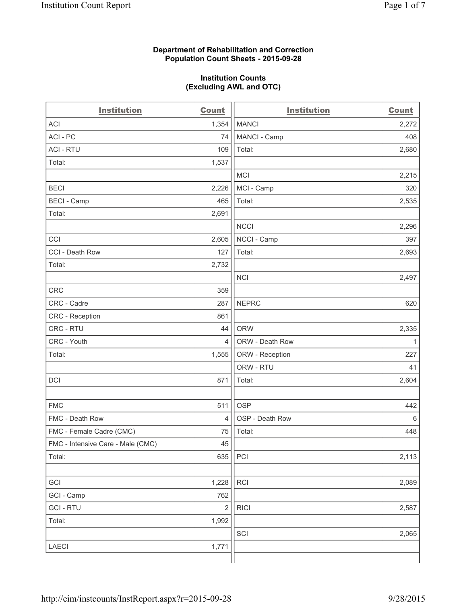## **Department of Rehabilitation and Correction Population Count Sheets - 2015-09-28**

## **Institution Counts (Excluding AWL and OTC)**

| <b>Institution</b>                | <b>Count</b>   | <b>Institution</b> | <b>Count</b> |
|-----------------------------------|----------------|--------------------|--------------|
| <b>ACI</b>                        | 1,354          | <b>MANCI</b>       | 2,272        |
| ACI-PC                            | 74             | MANCI - Camp       | 408          |
| <b>ACI - RTU</b>                  | 109            | Total:             | 2,680        |
| Total:                            | 1,537          |                    |              |
|                                   |                | <b>MCI</b>         | 2,215        |
| <b>BECI</b>                       | 2,226          | MCI - Camp         | 320          |
| <b>BECI - Camp</b>                | 465            | Total:             | 2,535        |
| Total:                            | 2,691          |                    |              |
|                                   |                | <b>NCCI</b>        | 2,296        |
| CCI                               | 2,605          | NCCI - Camp        | 397          |
| CCI - Death Row                   | 127            | Total:             | 2,693        |
| Total:                            | 2,732          |                    |              |
|                                   |                | <b>NCI</b>         | 2,497        |
| <b>CRC</b>                        | 359            |                    |              |
| CRC - Cadre                       | 287            | <b>NEPRC</b>       | 620          |
| CRC - Reception                   | 861            |                    |              |
| CRC - RTU                         | 44             | <b>ORW</b>         | 2,335        |
| CRC - Youth                       | 4              | ORW - Death Row    | $\mathbf{1}$ |
| Total:                            | 1,555          | ORW - Reception    | 227          |
|                                   |                | ORW - RTU          | 41           |
| DCI                               | 871            | Total:             | 2,604        |
|                                   |                |                    |              |
| <b>FMC</b>                        | 511            | <b>OSP</b>         | 442          |
| FMC - Death Row                   | $\overline{4}$ | OSP - Death Row    | 6            |
| FMC - Female Cadre (CMC)          | 75             | Total:             | 448          |
| FMC - Intensive Care - Male (CMC) | 45             |                    |              |
| Total:                            | 635            | PCI                | 2,113        |
|                                   |                |                    |              |
| GCI                               | 1,228          | RCI                | 2,089        |
| GCI - Camp                        | 762            |                    |              |
| <b>GCI-RTU</b>                    | $\sqrt{2}$     | <b>RICI</b>        | 2,587        |
| Total:                            | 1,992          |                    |              |
|                                   |                | SCI                | 2,065        |
| LAECI                             | 1,771          |                    |              |
|                                   |                |                    |              |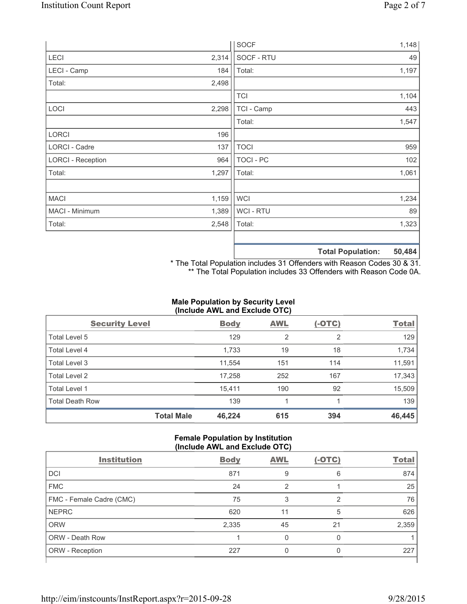|                          |       | <b>SOCF</b>    | 1,148                       |
|--------------------------|-------|----------------|-----------------------------|
| LECI                     | 2,314 | SOCF - RTU     | 49                          |
| LECI - Camp              | 184   | Total:         | 1,197                       |
| Total:                   | 2,498 |                |                             |
|                          |       | <b>TCI</b>     | 1,104                       |
| LOCI                     | 2,298 | TCI - Camp     | 443                         |
|                          |       | Total:         | 1,547                       |
| <b>LORCI</b>             | 196   |                |                             |
| LORCI - Cadre            | 137   | <b>TOCI</b>    | 959                         |
| <b>LORCI - Reception</b> | 964   | TOCI - PC      | 102                         |
| Total:                   | 1,297 | Total:         | 1,061                       |
|                          |       |                |                             |
| <b>MACI</b>              | 1,159 | WCI            | 1,234                       |
| MACI - Minimum           | 1,389 | <b>WCI-RTU</b> | 89                          |
| Total:                   | 2,548 | Total:         | 1,323                       |
|                          |       |                |                             |
|                          |       |                | EN ADA<br>Total Dopulations |

**Total Population: 50,484**

\* The Total Population includes 31 Offenders with Reason Codes 30 & 31. \*\* The Total Population includes 33 Offenders with Reason Code 0A.

# **Male Population by Security Level (Include AWL and Exclude OTC)**

| <b>Security Level</b>  |                   | <b>Body</b> | <b>AWL</b> | $(-OTC)$       | <b>Total</b> |
|------------------------|-------------------|-------------|------------|----------------|--------------|
| Total Level 5          |                   | 129         | 2          | $\overline{2}$ | 129          |
| <b>Total Level 4</b>   |                   | 1,733       | 19         | 18             | 1,734        |
| Total Level 3          |                   | 11,554      | 151        | 114            | 11,591       |
| Total Level 2          |                   | 17,258      | 252        | 167            | 17,343       |
| <b>Total Level 1</b>   |                   | 15,411      | 190        | 92             | 15,509       |
| <b>Total Death Row</b> |                   | 139         |            |                | 139          |
|                        | <b>Total Male</b> | 46,224      | 615        | 394            | 46,445       |

### **Female Population by Institution (Include AWL and Exclude OTC)**

| <b>Institution</b>       | <b>Body</b> | <b>AWL</b> | $(-OTC)$ | <b>Total</b> |
|--------------------------|-------------|------------|----------|--------------|
| <b>DCI</b>               | 871         | 9          | 6        | 874          |
| <b>FMC</b>               | 24          | ာ          |          | 25           |
| FMC - Female Cadre (CMC) | 75          |            | っ        | 76           |
| <b>NEPRC</b>             | 620         | 11         | 5        | 626          |
| <b>ORW</b>               | 2,335       | 45         | 21       | 2,359        |
| <b>ORW - Death Row</b>   |             |            | 0        |              |
| ORW - Reception          | 227         |            | O        | 227          |
|                          |             |            |          |              |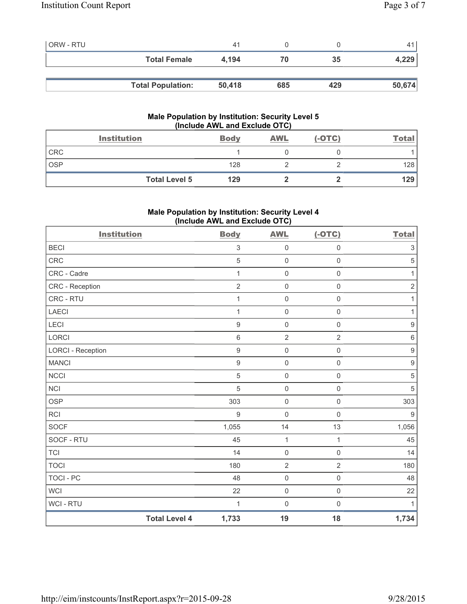| <b>ORW - RTU</b> |                          | 41     |     |     | 41     |
|------------------|--------------------------|--------|-----|-----|--------|
|                  | <b>Total Female</b>      | 4.194  | 70  | 35  | 4,229  |
|                  |                          |        |     |     |        |
|                  | <b>Total Population:</b> | 50,418 | 685 | 429 | 50,674 |

# **Male Population by Institution: Security Level 5 (Include AWL and Exclude OTC)**

|            | <b>Institution</b>   | <b>Body</b> | <b>AWL</b> | $(-OTC)$ | <u>Total</u> |
|------------|----------------------|-------------|------------|----------|--------------|
| <b>CRC</b> |                      |             |            |          |              |
| <b>OSP</b> |                      | 128         |            |          | 128          |
|            | <b>Total Level 5</b> | 129         |            |          | 129          |

# **Male Population by Institution: Security Level 4 (Include AWL and Exclude OTC)**

| <b>Institution</b>       |                      | <b>Body</b>      | <b>AWL</b>          | $(-OTC)$            | <b>Total</b>              |
|--------------------------|----------------------|------------------|---------------------|---------------------|---------------------------|
| <b>BECI</b>              |                      | $\,$ 3 $\,$      | $\mathsf{O}\xspace$ | $\mathsf{O}\xspace$ | $\ensuremath{\mathsf{3}}$ |
| CRC                      |                      | $\overline{5}$   | $\mathsf{O}\xspace$ | $\mathsf{O}\xspace$ | $\sqrt{5}$                |
| CRC - Cadre              |                      | 1                | $\mathsf{O}\xspace$ | $\mathsf 0$         | $\mathbf{1}$              |
| CRC - Reception          |                      | $\overline{2}$   | $\mathbf 0$         | $\mathbf 0$         | $\sqrt{2}$                |
| CRC - RTU                |                      | 1                | $\mathsf{O}\xspace$ | $\mathsf{O}\xspace$ | $\mathbf{1}$              |
| <b>LAECI</b>             |                      | 1                | $\mathsf{O}\xspace$ | $\mathsf 0$         | $\mathbf{1}$              |
| LECI                     |                      | $\boldsymbol{9}$ | $\mathsf{O}\xspace$ | $\mathbf 0$         | $\boldsymbol{9}$          |
| LORCI                    |                      | $\,6\,$          | $\overline{2}$      | $\overline{2}$      | $\,6\,$                   |
| <b>LORCI - Reception</b> |                      | $\boldsymbol{9}$ | $\mathbf 0$         | $\mathsf 0$         | $\boldsymbol{9}$          |
| <b>MANCI</b>             |                      | $\boldsymbol{9}$ | $\mathsf{O}\xspace$ | $\mathsf{O}\xspace$ | $\boldsymbol{9}$          |
| <b>NCCI</b>              |                      | $\sqrt{5}$       | $\mathsf{O}\xspace$ | $\mathsf 0$         | $\sqrt{5}$                |
| <b>NCI</b>               |                      | 5                | $\mathsf{O}\xspace$ | $\mathsf{O}\xspace$ | $\sqrt{5}$                |
| <b>OSP</b>               |                      | 303              | $\mathsf{O}\xspace$ | $\mathsf{O}\xspace$ | 303                       |
| <b>RCI</b>               |                      | $9\,$            | $\mathbf 0$         | $\mathsf{O}\xspace$ | $9\,$                     |
| <b>SOCF</b>              |                      | 1,055            | 14                  | 13                  | 1,056                     |
| SOCF - RTU               |                      | 45               | $\mathbf{1}$        | $\mathbf{1}$        | 45                        |
| <b>TCI</b>               |                      | 14               | $\mathsf{O}\xspace$ | $\mathbf 0$         | 14                        |
| <b>TOCI</b>              |                      | 180              | $\sqrt{2}$          | $\overline{2}$      | 180                       |
| <b>TOCI - PC</b>         |                      | 48               | $\mathsf{O}\xspace$ | $\mathsf 0$         | 48                        |
| <b>WCI</b>               |                      | 22               | $\mathsf{O}\xspace$ | $\mathsf{O}\xspace$ | 22                        |
| <b>WCI - RTU</b>         |                      | 1                | $\mathsf{O}\xspace$ | $\mathsf{O}\xspace$ | 1                         |
|                          | <b>Total Level 4</b> | 1,733            | 19                  | 18                  | 1,734                     |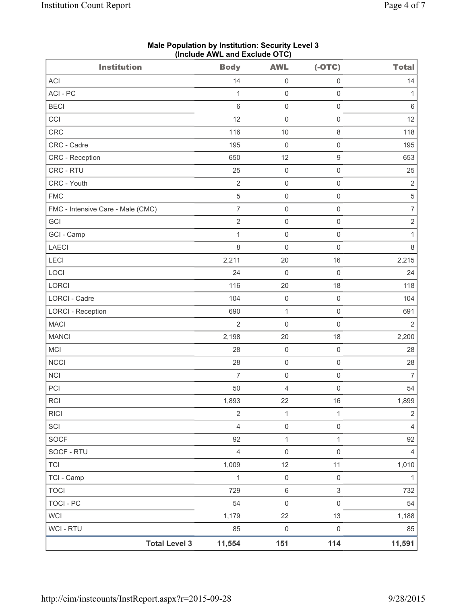| <b>Institution</b>                | Include AME and Exercise OTOJ<br><b>Body</b> | <b>AWL</b>          | $(-OTC)$            | <b>Total</b>     |
|-----------------------------------|----------------------------------------------|---------------------|---------------------|------------------|
| ACI                               | 14                                           | $\mathsf{O}\xspace$ | $\mathsf 0$         | 14               |
| ACI-PC                            | 1                                            | $\mathbf 0$         | $\mathsf 0$         | 1                |
| <b>BECI</b>                       | $6\phantom{1}6$                              | $\mathbf 0$         | $\mathsf{O}\xspace$ | $\,6\,$          |
| CCI                               | 12                                           | $\mathbf 0$         | $\mathsf 0$         | 12               |
| <b>CRC</b>                        | 116                                          | 10                  | $\,8\,$             | 118              |
| CRC - Cadre                       | 195                                          | $\mathsf{O}\xspace$ | $\mathsf{O}\xspace$ | 195              |
| CRC - Reception                   | 650                                          | 12                  | $\boldsymbol{9}$    | 653              |
| CRC - RTU                         | 25                                           | $\mathbf 0$         | $\mathsf{O}\xspace$ | 25               |
| CRC - Youth                       | $\overline{2}$                               | $\mathsf{O}\xspace$ | $\mathsf 0$         | $\sqrt{2}$       |
| <b>FMC</b>                        | $\sqrt{5}$                                   | $\mathbf 0$         | $\mathsf{O}\xspace$ | $\,$ 5 $\,$      |
| FMC - Intensive Care - Male (CMC) | $\overline{7}$                               | $\mathsf{O}\xspace$ | $\mathsf{O}\xspace$ | $\boldsymbol{7}$ |
| GCI                               | $\sqrt{2}$                                   | $\mathbf 0$         | $\mathsf 0$         | $\sqrt{2}$       |
| GCI - Camp                        | $\mathbf{1}$                                 | $\mathbf 0$         | $\mathsf{O}\xspace$ | $\mathbf{1}$     |
| LAECI                             | $\,8\,$                                      | $\mathsf{O}\xspace$ | $\mathsf{O}\xspace$ | $\,8\,$          |
| LECI                              | 2,211                                        | 20                  | 16                  | 2,215            |
| LOCI                              | 24                                           | $\mathbf 0$         | $\mathsf 0$         | 24               |
| LORCI                             | 116                                          | 20                  | 18                  | 118              |
| LORCI - Cadre                     | 104                                          | $\mathbf 0$         | $\mathsf 0$         | 104              |
| <b>LORCI - Reception</b>          | 690                                          | $\mathbf{1}$        | $\mathsf{O}\xspace$ | 691              |
| <b>MACI</b>                       | $\overline{2}$                               | $\mathbf 0$         | $\mathsf{O}\xspace$ | $\overline{2}$   |
| <b>MANCI</b>                      | 2,198                                        | 20                  | 18                  | 2,200            |
| <b>MCI</b>                        | 28                                           | $\mathbf 0$         | $\mathsf 0$         | 28               |
| <b>NCCI</b>                       | 28                                           | $\mathsf{O}\xspace$ | $\mathsf 0$         | 28               |
| <b>NCI</b>                        | $\overline{7}$                               | $\mathsf{O}\xspace$ | $\mathsf 0$         | $\overline{7}$   |
| PCI                               | 50                                           | 4                   | $\mathsf{O}\xspace$ | 54               |
| <b>RCI</b>                        | 1,893                                        | 22                  | 16                  | 1,899            |
| <b>RICI</b>                       | $\overline{2}$                               | $\mathbf 1$         | $\mathbf{1}$        | $\overline{2}$   |
| SCI                               | $\overline{4}$                               | $\mathsf 0$         | $\mathsf{O}\xspace$ | $\overline{4}$   |
| SOCF                              | 92                                           | $\mathbf 1$         | $\mathbf{1}$        | 92               |
| SOCF - RTU                        | $\overline{4}$                               | $\mathbf 0$         | $\mathsf{O}\xspace$ | $\overline{4}$   |
| <b>TCI</b>                        | 1,009                                        | 12                  | 11                  | 1,010            |
| TCI - Camp                        | 1                                            | $\mathsf{O}\xspace$ | $\mathsf 0$         | 1                |
| <b>TOCI</b>                       | 729                                          | $\,6\,$             | $\mathfrak{S}$      | 732              |
| <b>TOCI - PC</b>                  | 54                                           | $\mathsf{O}\xspace$ | $\mathsf{O}\xspace$ | 54               |
| <b>WCI</b>                        | 1,179                                        | 22                  | 13                  | 1,188            |
| <b>WCI-RTU</b>                    | 85                                           | $\mathsf{O}\xspace$ | $\mathsf{O}\xspace$ | 85               |
| <b>Total Level 3</b>              | 11,554                                       | 151                 | 114                 | 11,591           |

### **Male Population by Institution: Security Level 3 (Include AWL and Exclude OTC)**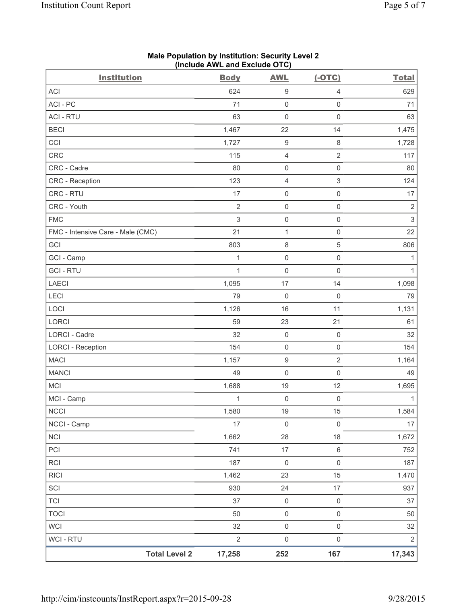| <b>Institution</b>                | <b>Body</b>    | <b>AWL</b>          | $(-OTC)$            | <b>Total</b>   |
|-----------------------------------|----------------|---------------------|---------------------|----------------|
| <b>ACI</b>                        | 624            | 9                   | $\overline{4}$      | 629            |
| ACI - PC                          | 71             | $\mathsf{O}\xspace$ | $\mathbf 0$         | 71             |
| <b>ACI - RTU</b>                  | 63             | $\mathsf{O}\xspace$ | $\mathsf 0$         | 63             |
| <b>BECI</b>                       | 1,467          | 22                  | 14                  | 1,475          |
| CCI                               | 1,727          | $\boldsymbol{9}$    | $\,8\,$             | 1,728          |
| CRC                               | 115            | 4                   | $\overline{2}$      | 117            |
| CRC - Cadre                       | 80             | 0                   | $\mathsf 0$         | 80             |
| <b>CRC</b> - Reception            | 123            | 4                   | $\mathsf 3$         | 124            |
| CRC - RTU                         | 17             | 0                   | $\mathsf 0$         | 17             |
| CRC - Youth                       | $\sqrt{2}$     | $\mathsf 0$         | $\mathsf 0$         | $\overline{2}$ |
| <b>FMC</b>                        | $\mathsf 3$    | 0                   | $\mathsf 0$         | $\mathsf 3$    |
| FMC - Intensive Care - Male (CMC) | 21             | 1                   | $\mathsf 0$         | 22             |
| GCI                               | 803            | 8                   | $\sqrt{5}$          | 806            |
| GCI - Camp                        | 1              | 0                   | $\mathsf 0$         | 1              |
| <b>GCI-RTU</b>                    | $\mathbf{1}$   | $\mathsf{O}\xspace$ | $\mathsf 0$         | 1              |
| <b>LAECI</b>                      | 1,095          | 17                  | 14                  | 1,098          |
| LECI                              | 79             | $\mathsf{O}\xspace$ | $\mathbf 0$         | 79             |
| LOCI                              | 1,126          | 16                  | 11                  | 1,131          |
| LORCI                             | 59             | 23                  | 21                  | 61             |
| <b>LORCI - Cadre</b>              | 32             | $\mathsf 0$         | $\mathsf 0$         | 32             |
| <b>LORCI - Reception</b>          | 154            | 0                   | $\mathsf 0$         | 154            |
| <b>MACI</b>                       | 1,157          | $\boldsymbol{9}$    | $\sqrt{2}$          | 1,164          |
| <b>MANCI</b>                      | 49             | $\mathsf{O}\xspace$ | $\mathsf 0$         | 49             |
| <b>MCI</b>                        | 1,688          | 19                  | 12                  | 1,695          |
| MCI - Camp                        | $\mathbf{1}$   | $\mathsf{O}\xspace$ | $\mathsf 0$         | 1              |
| $\sf NCCI$                        | 1,580          | $19$                | 15                  | 1,584          |
| NCCI - Camp                       | 17             | $\mathsf 0$         | $\mathsf 0$         | $17$           |
| NCI                               | 1,662          | 28                  | 18                  | 1,672          |
| PCI                               | 741            | 17                  | $\,6\,$             | 752            |
| RCI                               | 187            | $\mathsf 0$         | $\mathsf 0$         | 187            |
| <b>RICI</b>                       | 1,462          | 23                  | 15                  | 1,470          |
| SCI                               | 930            | 24                  | 17                  | 937            |
| <b>TCI</b>                        | 37             | $\mathsf{O}\xspace$ | $\mathsf{O}\xspace$ | 37             |
| <b>TOCI</b>                       | 50             | $\mathsf{O}\xspace$ | $\mathsf 0$         | 50             |
| <b>WCI</b>                        | 32             | $\mathsf 0$         | $\mathsf 0$         | 32             |
| WCI - RTU                         | $\overline{2}$ | $\mathsf{O}\xspace$ | $\mathsf 0$         | $\sqrt{2}$     |
| <b>Total Level 2</b>              | 17,258         | 252                 | 167                 | 17,343         |

## **Male Population by Institution: Security Level 2 (Include AWL and Exclude OTC)**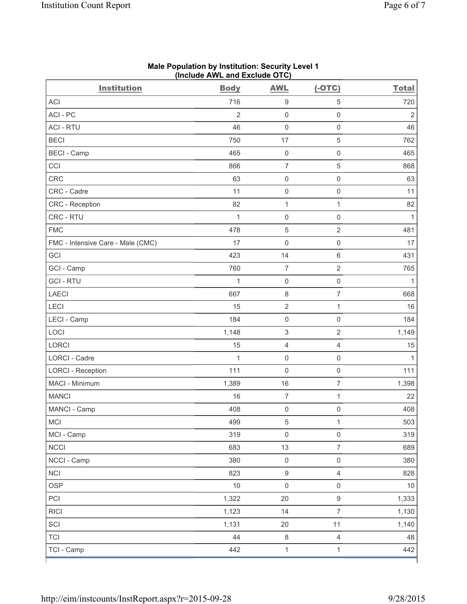| <b>Institution</b>                | <b>Body</b>    | <b>AWL</b>               | $(-OTC)$                 | <b>Total</b>   |
|-----------------------------------|----------------|--------------------------|--------------------------|----------------|
| <b>ACI</b>                        | 716            | $\boldsymbol{9}$         | $\,$ 5 $\,$              | 720            |
| ACI - PC                          | $\overline{2}$ | $\mathsf{O}\xspace$      | $\mathsf{O}\xspace$      | $\overline{2}$ |
| <b>ACI - RTU</b>                  | 46             | $\mathsf{O}\xspace$      | $\mathsf{O}\xspace$      | 46             |
| <b>BECI</b>                       | 750            | 17                       | $\sqrt{5}$               | 762            |
| <b>BECI - Camp</b>                | 465            | $\mathsf{O}\xspace$      | $\mathsf 0$              | 465            |
| CCI                               | 866            | $\overline{7}$           | $\,$ 5 $\,$              | 868            |
| CRC                               | 63             | $\mathsf 0$              | $\mathsf{O}\xspace$      | 63             |
| CRC - Cadre                       | 11             | $\mathsf 0$              | $\mathsf{O}\xspace$      | 11             |
| CRC - Reception                   | 82             | $\mathbf{1}$             | $\mathbf 1$              | 82             |
| CRC - RTU                         | $\mathbf{1}$   | $\mathsf{O}\xspace$      | $\mathsf{O}\xspace$      | $\mathbf{1}$   |
| <b>FMC</b>                        | 478            | $\,$ 5 $\,$              | $\sqrt{2}$               | 481            |
| FMC - Intensive Care - Male (CMC) | 17             | $\mathsf{O}\xspace$      | $\mathsf{O}\xspace$      | 17             |
| GCI                               | 423            | 14                       | 6                        | 431            |
| GCI - Camp                        | 760            | $\overline{\mathcal{I}}$ | $\sqrt{2}$               | 765            |
| <b>GCI-RTU</b>                    | $\mathbf{1}$   | $\mathsf{O}\xspace$      | $\mathsf{O}\xspace$      | 1              |
| <b>LAECI</b>                      | 667            | $\,8\,$                  | $\overline{\mathcal{I}}$ | 668            |
| LECI                              | 15             | $\overline{2}$           | $\mathbf{1}$             | 16             |
| LECI - Camp                       | 184            | $\mathsf{O}\xspace$      | $\mathsf 0$              | 184            |
| LOCI                              | 1,148          | $\sqrt{3}$               | $\sqrt{2}$               | 1,149          |
| <b>LORCI</b>                      | 15             | $\overline{4}$           | $\overline{4}$           | 15             |
| LORCI - Cadre                     | $\mathbf{1}$   | $\mathsf{O}\xspace$      | $\mathsf{O}\xspace$      | 1              |
| <b>LORCI - Reception</b>          | 111            | $\mathsf{O}\xspace$      | $\mathsf{O}\xspace$      | 111            |
| MACI - Minimum                    | 1,389          | 16                       | $\overline{7}$           | 1,398          |
| <b>MANCI</b>                      | 16             | $\overline{\mathcal{I}}$ | $\mathbf 1$              | 22             |
| MANCI - Camp                      | 408            | $\mathsf{O}\xspace$      | $\mathsf 0$              | 408            |
| <b>MCI</b>                        | 499            | 5                        | 1                        | 503            |
| MCI - Camp                        | 319            | $\mathsf{O}\xspace$      | $\mathsf{O}\xspace$      | 319            |
| <b>NCCI</b>                       | 683            | 13                       | $\overline{7}$           | 689            |
| NCCI - Camp                       | 380            | $\mathsf{O}\xspace$      | $\mathsf 0$              | 380            |
| <b>NCI</b>                        | 823            | $\hbox{9}$               | $\overline{4}$           | 828            |
| <b>OSP</b>                        | $10$           | $\mathsf{O}\xspace$      | $\mathsf 0$              | 10             |
| PCI                               | 1,322          | 20                       | $\mathsf g$              | 1,333          |
| <b>RICI</b>                       | 1,123          | 14                       | $\overline{7}$           | 1,130          |
| SCI                               | 1,131          | 20                       | 11                       | 1,140          |
| <b>TCI</b>                        | 44             | $\,8\,$                  | $\overline{4}$           | 48             |
| TCI - Camp                        | 442            | $\mathbf{1}$             | $\mathbf{1}$             | 442            |

### **Male Population by Institution: Security Level 1 (Include AWL and Exclude OTC)**